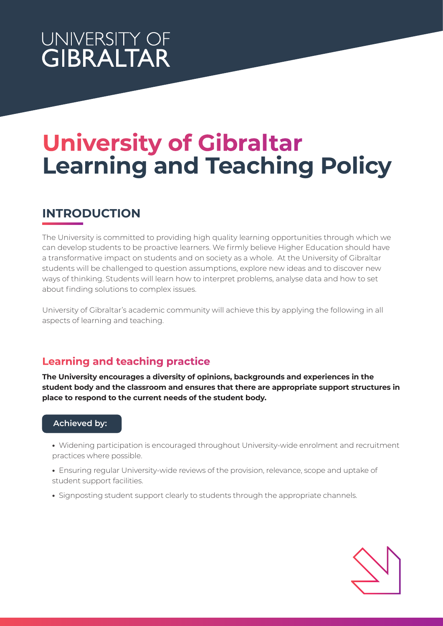## UNIVERSITY OF **GIBRALTAR**

# **University of Gibraltar Learning and Teaching Policy**

## **INTRODUCTION**

The University is committed to providing high quality learning opportunities through which we can develop students to be proactive learners. We firmly believe Higher Education should have a transformative impact on students and on society as a whole. At the University of Gibraltar students will be challenged to question assumptions, explore new ideas and to discover new ways of thinking. Students will learn how to interpret problems, analyse data and how to set about finding solutions to complex issues.

University of Gibraltar's academic community will achieve this by applying the following in all aspects of learning and teaching.

## **Learning and teaching practice**

**The University encourages a diversity of opinions, backgrounds and experiences in the student body and the classroom and ensures that there are appropriate support structures in place to respond to the current needs of the student body.** 

#### **Achieved by:**

- Widening participation is encouraged throughout University-wide enrolment and recruitment practices where possible.
- Ensuring regular University-wide reviews of the provision, relevance, scope and uptake of student support facilities.
- Signposting student support clearly to students through the appropriate channels.

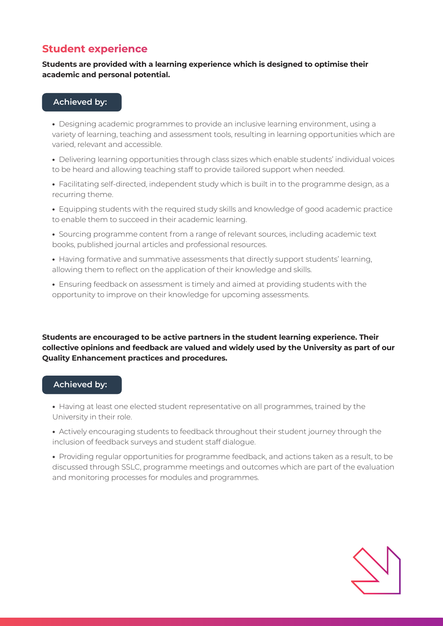### **Student experience**

#### **Students are provided with a learning experience which is designed to optimise their academic and personal potential.**

#### **Achieved by:**

**•** Designing academic programmes to provide an inclusive learning environment, using a variety of learning, teaching and assessment tools, resulting in learning opportunities which are varied, relevant and accessible.

**•** Delivering learning opportunities through class sizes which enable students' individual voices to be heard and allowing teaching staff to provide tailored support when needed.

**•** Facilitating self-directed, independent study which is built in to the programme design, as a recurring theme.

**•** Equipping students with the required study skills and knowledge of good academic practice to enable them to succeed in their academic learning.

**•** Sourcing programme content from a range of relevant sources, including academic text books, published journal articles and professional resources.

- Having formative and summative assessments that directly support students' learning, allowing them to reflect on the application of their knowledge and skills.
- Ensuring feedback on assessment is timely and aimed at providing students with the opportunity to improve on their knowledge for upcoming assessments.

**Students are encouraged to be active partners in the student learning experience. Their collective opinions and feedback are valued and widely used by the University as part of our Quality Enhancement practices and procedures.**

#### **Achieved by:**

**•** Having at least one elected student representative on all programmes, trained by the University in their role.

**•** Actively encouraging students to feedback throughout their student journey through the inclusion of feedback surveys and student staff dialogue.

**•** Providing regular opportunities for programme feedback, and actions taken as a result, to be discussed through SSLC, programme meetings and outcomes which are part of the evaluation and monitoring processes for modules and programmes.